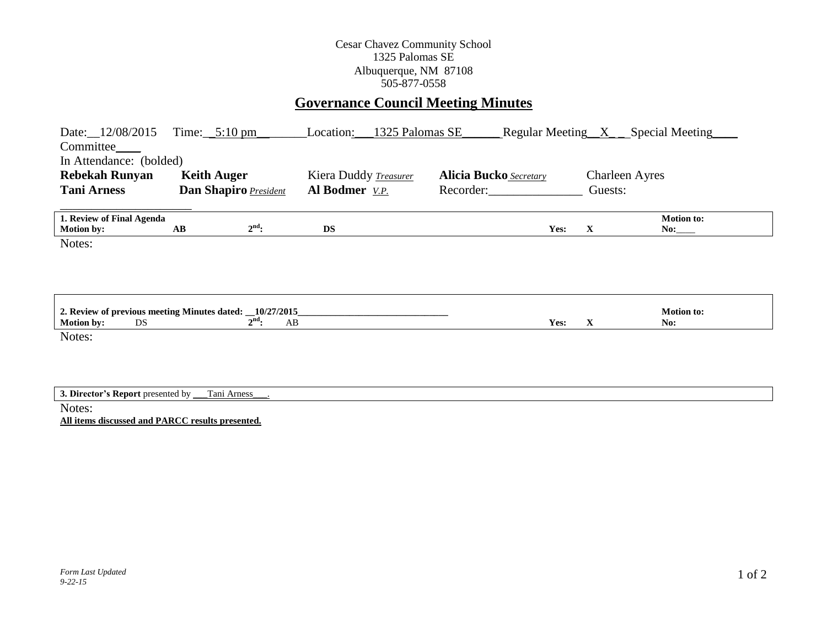## Cesar Chavez Community School 1325 Palomas SE Albuquerque, NM 87108 505-877-0558

# **Governance Council Meeting Minutes**

| Date: 12/08/2015<br>Committee_<br>In Attendance: (bolded)                            | Time: $5:10 \text{ pm}$ |                  | Location:             | 1325 Palomas SE |                               | Regular Meeting $X$ Special Meeting |                       |                          |
|--------------------------------------------------------------------------------------|-------------------------|------------------|-----------------------|-----------------|-------------------------------|-------------------------------------|-----------------------|--------------------------|
| <b>Rebekah Runyan</b>                                                                | <b>Keith Auger</b>      |                  | Kiera Duddy Treasurer |                 | <b>Alicia Bucko</b> Secretary |                                     | <b>Charleen Ayres</b> |                          |
| <b>Tani Arness</b>                                                                   | Dan Shapiro President   |                  | Al Bodmer V.P.        |                 | Recorder:                     |                                     | Guests:               |                          |
| 1. Review of Final Agenda<br><b>Motion by:</b>                                       | AB                      | $2nd$ :          | <b>DS</b>             |                 |                               | Yes:                                | $\mathbf X$           | <b>Motion to:</b><br>No: |
| Notes:                                                                               |                         |                  |                       |                 |                               |                                     |                       |                          |
| 2. Review of previous meeting Minutes dated: _10/27/2015_<br><b>Motion by:</b><br>DS |                         | $2^{nd}$ :<br>AB |                       |                 |                               | Yes:                                | $\mathbf{X}$          | <b>Motion to:</b><br>No: |
| Notes:                                                                               |                         |                  |                       |                 |                               |                                     |                       |                          |
| 3. Director's Report presented by _                                                  | Tani Arness             |                  |                       |                 |                               |                                     |                       |                          |
| Notes:                                                                               |                         |                  |                       |                 |                               |                                     |                       |                          |

**All items discussed and PARCC results presented.**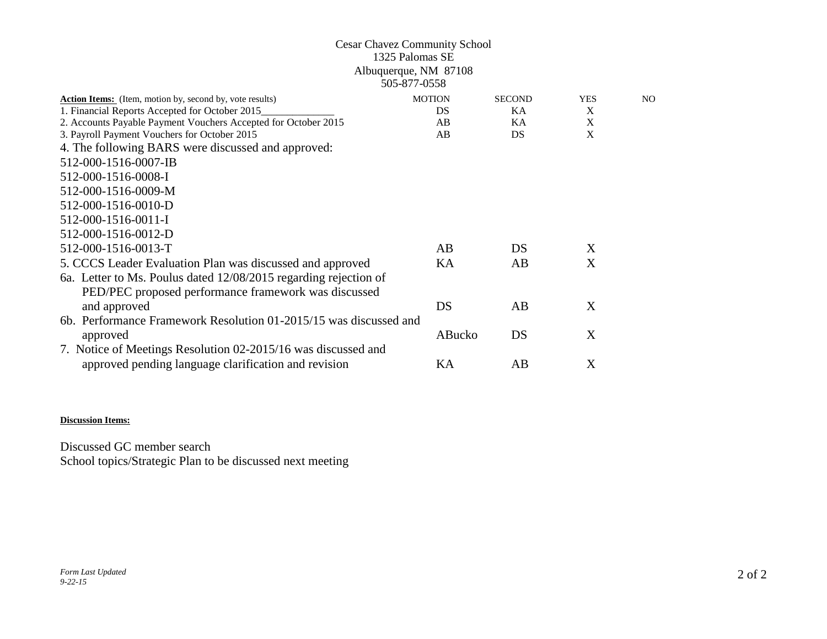## Cesar Chavez Community School 1325 Palomas SE Albuquerque, NM 87108 505-877-0558

| <b>Action Items:</b> (Item, motion by, second by, vote results)   | <b>MOTION</b> | <b>SECOND</b> | <b>YES</b> | N <sub>O</sub> |
|-------------------------------------------------------------------|---------------|---------------|------------|----------------|
| 1. Financial Reports Accepted for October 2015                    | DS            | KA            | X          |                |
| 2. Accounts Payable Payment Vouchers Accepted for October 2015    | AB            | KA            | X          |                |
| 3. Payroll Payment Vouchers for October 2015                      | AB            | DS            | X          |                |
| 4. The following BARS were discussed and approved:                |               |               |            |                |
| 512-000-1516-0007-IB                                              |               |               |            |                |
| 512-000-1516-0008-I                                               |               |               |            |                |
| 512-000-1516-0009-M                                               |               |               |            |                |
| 512-000-1516-0010-D                                               |               |               |            |                |
| 512-000-1516-0011-I                                               |               |               |            |                |
| 512-000-1516-0012-D                                               |               |               |            |                |
| 512-000-1516-0013-T                                               | AB            | DS            | X          |                |
| 5. CCCS Leader Evaluation Plan was discussed and approved         | KA            | AB            | X          |                |
| 6a. Letter to Ms. Poulus dated 12/08/2015 regarding rejection of  |               |               |            |                |
| PED/PEC proposed performance framework was discussed              |               |               |            |                |
| and approved                                                      | DS            | AB.           | X          |                |
| 6b. Performance Framework Resolution 01-2015/15 was discussed and |               |               |            |                |
| approved                                                          | ABucko        | DS            | X          |                |
| 7. Notice of Meetings Resolution 02-2015/16 was discussed and     |               |               |            |                |
| approved pending language clarification and revision              | KА            | AB            | X          |                |

### **Discussion Items:**

Discussed GC member search School topics/Strategic Plan to be discussed next meeting